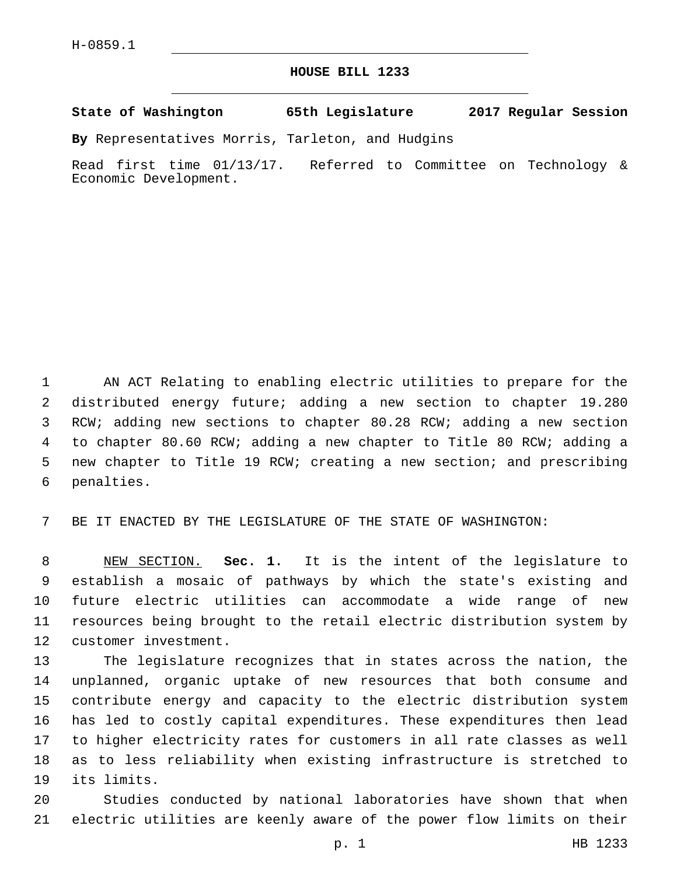## **HOUSE BILL 1233**

**State of Washington 65th Legislature 2017 Regular Session**

**By** Representatives Morris, Tarleton, and Hudgins

Read first time 01/13/17. Referred to Committee on Technology & Economic Development.

 AN ACT Relating to enabling electric utilities to prepare for the distributed energy future; adding a new section to chapter 19.280 RCW; adding new sections to chapter 80.28 RCW; adding a new section to chapter 80.60 RCW; adding a new chapter to Title 80 RCW; adding a new chapter to Title 19 RCW; creating a new section; and prescribing 6 penalties.

BE IT ENACTED BY THE LEGISLATURE OF THE STATE OF WASHINGTON:

 NEW SECTION. **Sec. 1.** It is the intent of the legislature to establish a mosaic of pathways by which the state's existing and future electric utilities can accommodate a wide range of new resources being brought to the retail electric distribution system by customer investment.

 The legislature recognizes that in states across the nation, the unplanned, organic uptake of new resources that both consume and contribute energy and capacity to the electric distribution system has led to costly capital expenditures. These expenditures then lead to higher electricity rates for customers in all rate classes as well as to less reliability when existing infrastructure is stretched to 19 its limits.

 Studies conducted by national laboratories have shown that when electric utilities are keenly aware of the power flow limits on their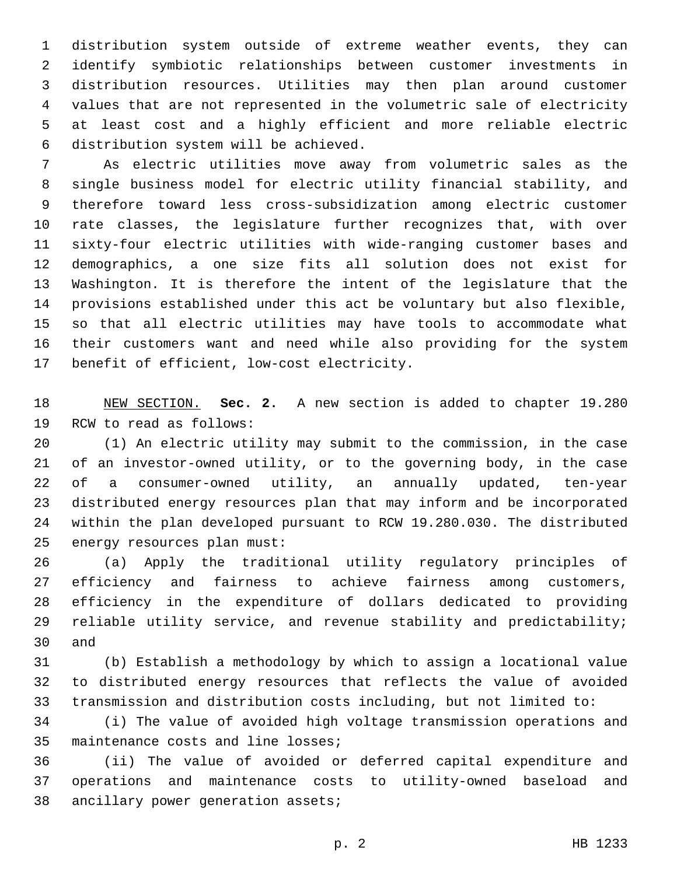distribution system outside of extreme weather events, they can identify symbiotic relationships between customer investments in distribution resources. Utilities may then plan around customer values that are not represented in the volumetric sale of electricity at least cost and a highly efficient and more reliable electric distribution system will be achieved.6

 As electric utilities move away from volumetric sales as the single business model for electric utility financial stability, and therefore toward less cross-subsidization among electric customer rate classes, the legislature further recognizes that, with over sixty-four electric utilities with wide-ranging customer bases and demographics, a one size fits all solution does not exist for Washington. It is therefore the intent of the legislature that the provisions established under this act be voluntary but also flexible, so that all electric utilities may have tools to accommodate what their customers want and need while also providing for the system 17 benefit of efficient, low-cost electricity.

 NEW SECTION. **Sec. 2.** A new section is added to chapter 19.280 19 RCW to read as follows:

 (1) An electric utility may submit to the commission, in the case of an investor-owned utility, or to the governing body, in the case of a consumer-owned utility, an annually updated, ten-year distributed energy resources plan that may inform and be incorporated within the plan developed pursuant to RCW 19.280.030. The distributed 25 energy resources plan must:

 (a) Apply the traditional utility regulatory principles of efficiency and fairness to achieve fairness among customers, efficiency in the expenditure of dollars dedicated to providing reliable utility service, and revenue stability and predictability; 30 and

 (b) Establish a methodology by which to assign a locational value to distributed energy resources that reflects the value of avoided transmission and distribution costs including, but not limited to:

 (i) The value of avoided high voltage transmission operations and 35 maintenance costs and line losses;

 (ii) The value of avoided or deferred capital expenditure and operations and maintenance costs to utility-owned baseload and 38 ancillary power generation assets;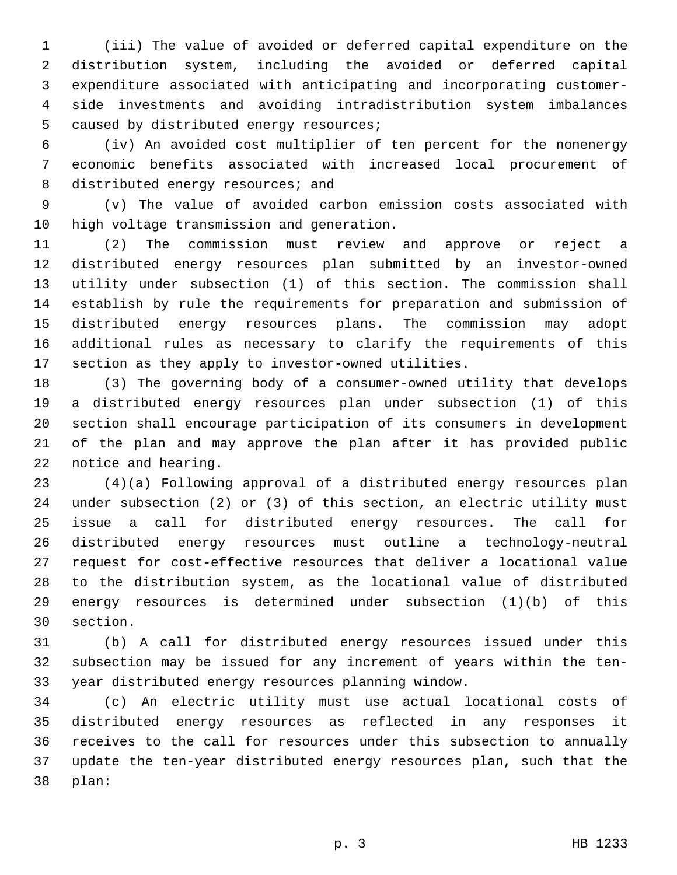(iii) The value of avoided or deferred capital expenditure on the distribution system, including the avoided or deferred capital expenditure associated with anticipating and incorporating customer- side investments and avoiding intradistribution system imbalances 5 caused by distributed energy resources;

 (iv) An avoided cost multiplier of ten percent for the nonenergy economic benefits associated with increased local procurement of 8 distributed energy resources; and

 (v) The value of avoided carbon emission costs associated with 10 high voltage transmission and generation.

 (2) The commission must review and approve or reject a distributed energy resources plan submitted by an investor-owned utility under subsection (1) of this section. The commission shall establish by rule the requirements for preparation and submission of distributed energy resources plans. The commission may adopt additional rules as necessary to clarify the requirements of this section as they apply to investor-owned utilities.

 (3) The governing body of a consumer-owned utility that develops a distributed energy resources plan under subsection (1) of this section shall encourage participation of its consumers in development of the plan and may approve the plan after it has provided public 22 notice and hearing.

 (4)(a) Following approval of a distributed energy resources plan under subsection (2) or (3) of this section, an electric utility must issue a call for distributed energy resources. The call for distributed energy resources must outline a technology-neutral request for cost-effective resources that deliver a locational value to the distribution system, as the locational value of distributed energy resources is determined under subsection (1)(b) of this 30 section.

 (b) A call for distributed energy resources issued under this subsection may be issued for any increment of years within the ten-year distributed energy resources planning window.

 (c) An electric utility must use actual locational costs of distributed energy resources as reflected in any responses it receives to the call for resources under this subsection to annually update the ten-year distributed energy resources plan, such that the plan:38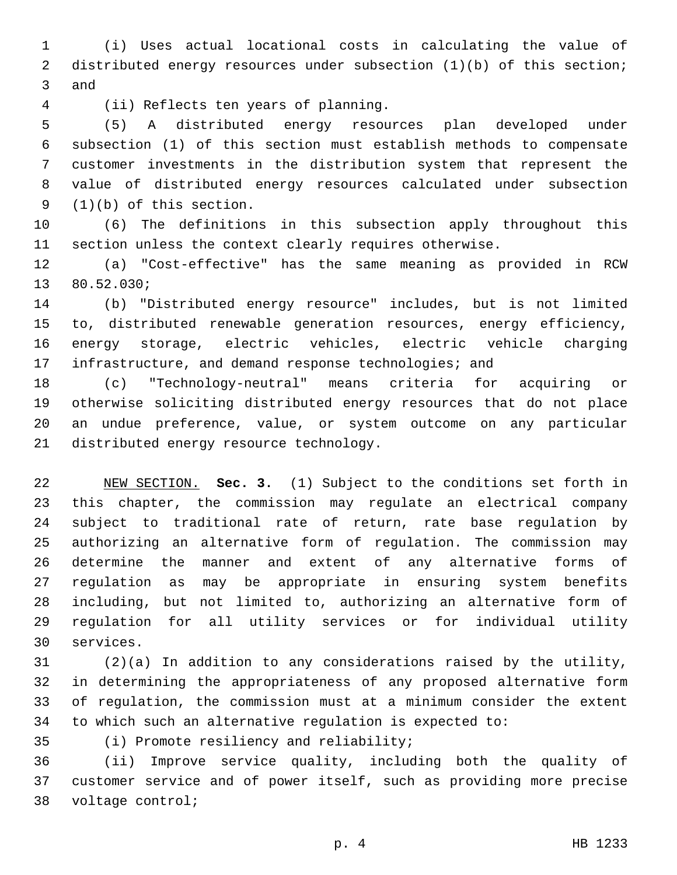(i) Uses actual locational costs in calculating the value of distributed energy resources under subsection (1)(b) of this section; 3 and

(ii) Reflects ten years of planning.4

 (5) A distributed energy resources plan developed under subsection (1) of this section must establish methods to compensate customer investments in the distribution system that represent the value of distributed energy resources calculated under subsection  $(1)(b)$  of this section.

 (6) The definitions in this subsection apply throughout this section unless the context clearly requires otherwise.

 (a) "Cost-effective" has the same meaning as provided in RCW 13 80.52.030;

 (b) "Distributed energy resource" includes, but is not limited to, distributed renewable generation resources, energy efficiency, energy storage, electric vehicles, electric vehicle charging 17 infrastructure, and demand response technologies; and

 (c) "Technology-neutral" means criteria for acquiring or otherwise soliciting distributed energy resources that do not place an undue preference, value, or system outcome on any particular 21 distributed energy resource technology.

 NEW SECTION. **Sec. 3.** (1) Subject to the conditions set forth in this chapter, the commission may regulate an electrical company subject to traditional rate of return, rate base regulation by authorizing an alternative form of regulation. The commission may determine the manner and extent of any alternative forms of regulation as may be appropriate in ensuring system benefits including, but not limited to, authorizing an alternative form of regulation for all utility services or for individual utility services.

 (2)(a) In addition to any considerations raised by the utility, in determining the appropriateness of any proposed alternative form of regulation, the commission must at a minimum consider the extent to which such an alternative regulation is expected to:

35 (i) Promote resiliency and reliability;

 (ii) Improve service quality, including both the quality of customer service and of power itself, such as providing more precise 38 voltage control;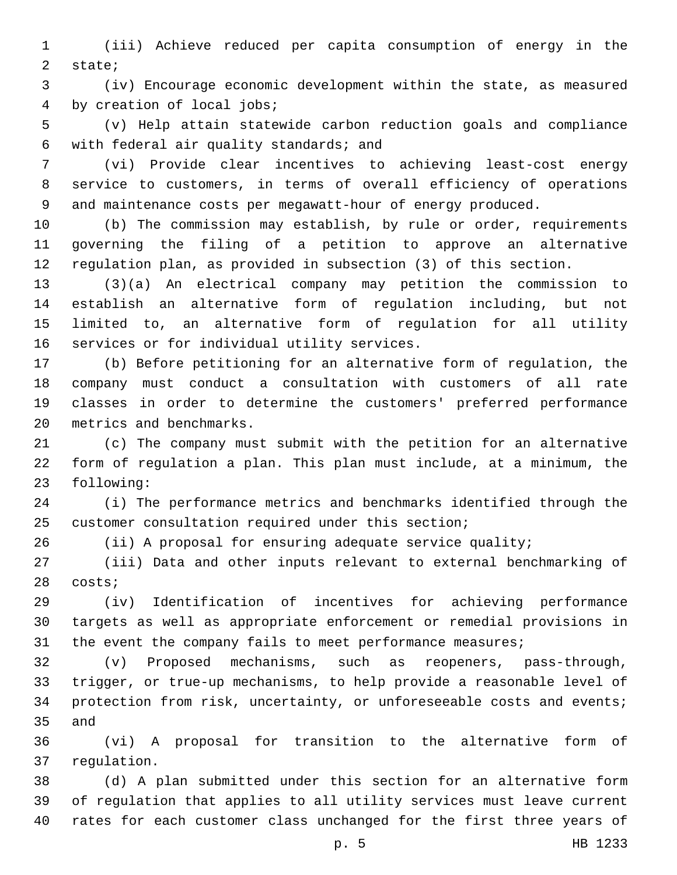(iii) Achieve reduced per capita consumption of energy in the 2 state;

 (iv) Encourage economic development within the state, as measured 4 by creation of local jobs;

 (v) Help attain statewide carbon reduction goals and compliance with federal air quality standards; and6

 (vi) Provide clear incentives to achieving least-cost energy service to customers, in terms of overall efficiency of operations and maintenance costs per megawatt-hour of energy produced.

 (b) The commission may establish, by rule or order, requirements governing the filing of a petition to approve an alternative regulation plan, as provided in subsection (3) of this section.

 (3)(a) An electrical company may petition the commission to establish an alternative form of regulation including, but not limited to, an alternative form of regulation for all utility 16 services or for individual utility services.

 (b) Before petitioning for an alternative form of regulation, the company must conduct a consultation with customers of all rate classes in order to determine the customers' preferred performance 20 metrics and benchmarks.

 (c) The company must submit with the petition for an alternative form of regulation a plan. This plan must include, at a minimum, the 23 following:

 (i) The performance metrics and benchmarks identified through the customer consultation required under this section;

(ii) A proposal for ensuring adequate service quality;

 (iii) Data and other inputs relevant to external benchmarking of 28 costs;

 (iv) Identification of incentives for achieving performance targets as well as appropriate enforcement or remedial provisions in 31 the event the company fails to meet performance measures;

 (v) Proposed mechanisms, such as reopeners, pass-through, trigger, or true-up mechanisms, to help provide a reasonable level of protection from risk, uncertainty, or unforeseeable costs and events; 35 and

 (vi) A proposal for transition to the alternative form of 37 regulation.

 (d) A plan submitted under this section for an alternative form of regulation that applies to all utility services must leave current rates for each customer class unchanged for the first three years of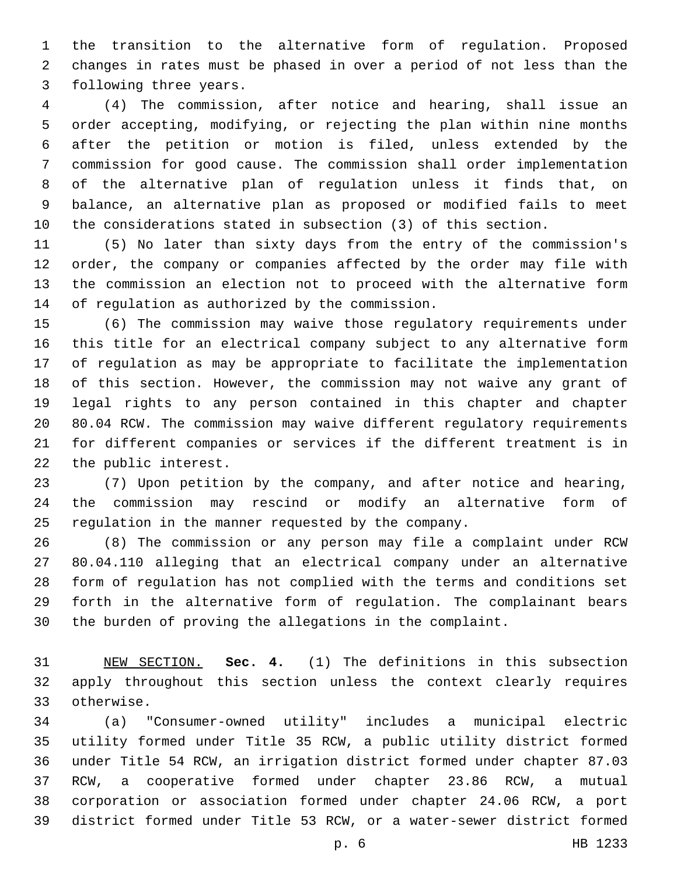the transition to the alternative form of regulation. Proposed changes in rates must be phased in over a period of not less than the 3 following three years.

 (4) The commission, after notice and hearing, shall issue an order accepting, modifying, or rejecting the plan within nine months after the petition or motion is filed, unless extended by the commission for good cause. The commission shall order implementation of the alternative plan of regulation unless it finds that, on balance, an alternative plan as proposed or modified fails to meet the considerations stated in subsection (3) of this section.

 (5) No later than sixty days from the entry of the commission's order, the company or companies affected by the order may file with the commission an election not to proceed with the alternative form 14 of regulation as authorized by the commission.

 (6) The commission may waive those regulatory requirements under this title for an electrical company subject to any alternative form of regulation as may be appropriate to facilitate the implementation of this section. However, the commission may not waive any grant of legal rights to any person contained in this chapter and chapter 80.04 RCW. The commission may waive different regulatory requirements for different companies or services if the different treatment is in 22 the public interest.

 (7) Upon petition by the company, and after notice and hearing, the commission may rescind or modify an alternative form of regulation in the manner requested by the company.

 (8) The commission or any person may file a complaint under RCW 80.04.110 alleging that an electrical company under an alternative form of regulation has not complied with the terms and conditions set forth in the alternative form of regulation. The complainant bears the burden of proving the allegations in the complaint.

 NEW SECTION. **Sec. 4.** (1) The definitions in this subsection apply throughout this section unless the context clearly requires otherwise.

 (a) "Consumer-owned utility" includes a municipal electric utility formed under Title 35 RCW, a public utility district formed under Title 54 RCW, an irrigation district formed under chapter 87.03 RCW, a cooperative formed under chapter 23.86 RCW, a mutual corporation or association formed under chapter 24.06 RCW, a port district formed under Title 53 RCW, or a water-sewer district formed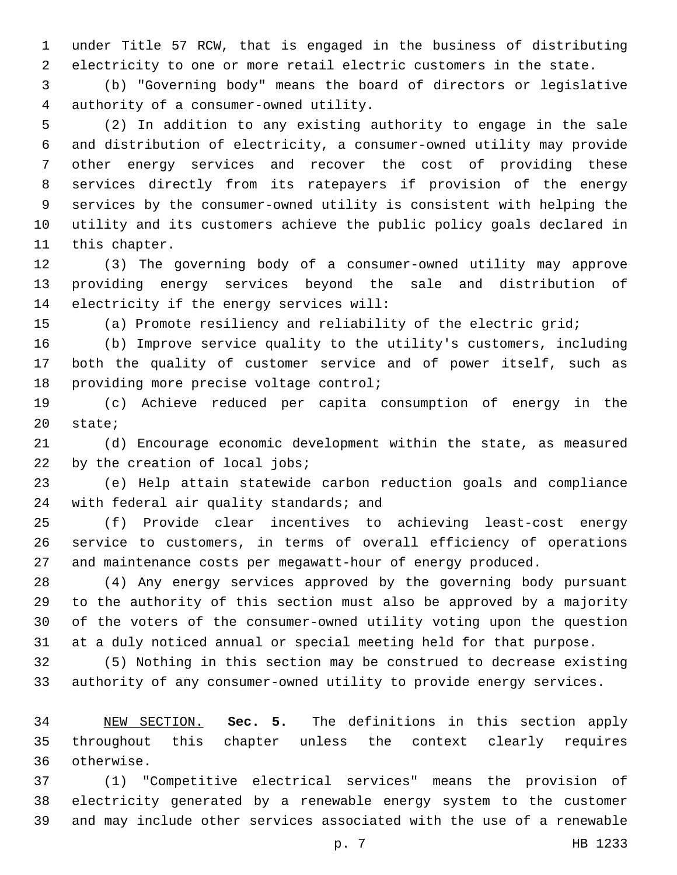under Title 57 RCW, that is engaged in the business of distributing electricity to one or more retail electric customers in the state.

 (b) "Governing body" means the board of directors or legislative authority of a consumer-owned utility.4

 (2) In addition to any existing authority to engage in the sale and distribution of electricity, a consumer-owned utility may provide other energy services and recover the cost of providing these services directly from its ratepayers if provision of the energy services by the consumer-owned utility is consistent with helping the utility and its customers achieve the public policy goals declared in 11 this chapter.

 (3) The governing body of a consumer-owned utility may approve providing energy services beyond the sale and distribution of 14 electricity if the energy services will:

(a) Promote resiliency and reliability of the electric grid;

 (b) Improve service quality to the utility's customers, including both the quality of customer service and of power itself, such as 18 providing more precise voltage control;

 (c) Achieve reduced per capita consumption of energy in the 20 state;

 (d) Encourage economic development within the state, as measured 22 by the creation of local jobs;

 (e) Help attain statewide carbon reduction goals and compliance 24 with federal air quality standards; and

 (f) Provide clear incentives to achieving least-cost energy service to customers, in terms of overall efficiency of operations and maintenance costs per megawatt-hour of energy produced.

 (4) Any energy services approved by the governing body pursuant to the authority of this section must also be approved by a majority of the voters of the consumer-owned utility voting upon the question at a duly noticed annual or special meeting held for that purpose.

 (5) Nothing in this section may be construed to decrease existing authority of any consumer-owned utility to provide energy services.

 NEW SECTION. **Sec. 5.** The definitions in this section apply throughout this chapter unless the context clearly requires otherwise.

 (1) "Competitive electrical services" means the provision of electricity generated by a renewable energy system to the customer and may include other services associated with the use of a renewable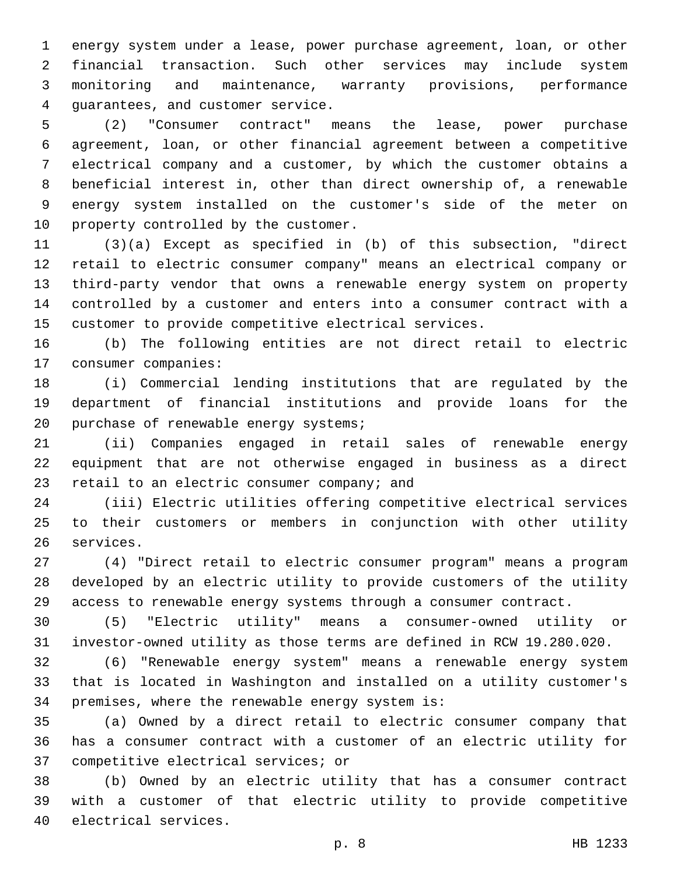energy system under a lease, power purchase agreement, loan, or other financial transaction. Such other services may include system monitoring and maintenance, warranty provisions, performance 4 guarantees, and customer service.

 (2) "Consumer contract" means the lease, power purchase agreement, loan, or other financial agreement between a competitive electrical company and a customer, by which the customer obtains a beneficial interest in, other than direct ownership of, a renewable energy system installed on the customer's side of the meter on 10 property controlled by the customer.

 (3)(a) Except as specified in (b) of this subsection, "direct retail to electric consumer company" means an electrical company or third-party vendor that owns a renewable energy system on property controlled by a customer and enters into a consumer contract with a customer to provide competitive electrical services.

 (b) The following entities are not direct retail to electric 17 consumer companies:

 (i) Commercial lending institutions that are regulated by the department of financial institutions and provide loans for the 20 purchase of renewable energy systems;

 (ii) Companies engaged in retail sales of renewable energy equipment that are not otherwise engaged in business as a direct 23 retail to an electric consumer company; and

 (iii) Electric utilities offering competitive electrical services to their customers or members in conjunction with other utility 26 services.

 (4) "Direct retail to electric consumer program" means a program developed by an electric utility to provide customers of the utility access to renewable energy systems through a consumer contract.

 (5) "Electric utility" means a consumer-owned utility or investor-owned utility as those terms are defined in RCW 19.280.020.

 (6) "Renewable energy system" means a renewable energy system that is located in Washington and installed on a utility customer's 34 premises, where the renewable energy system is:

 (a) Owned by a direct retail to electric consumer company that has a consumer contract with a customer of an electric utility for 37 competitive electrical services; or

 (b) Owned by an electric utility that has a consumer contract with a customer of that electric utility to provide competitive 40 electrical services.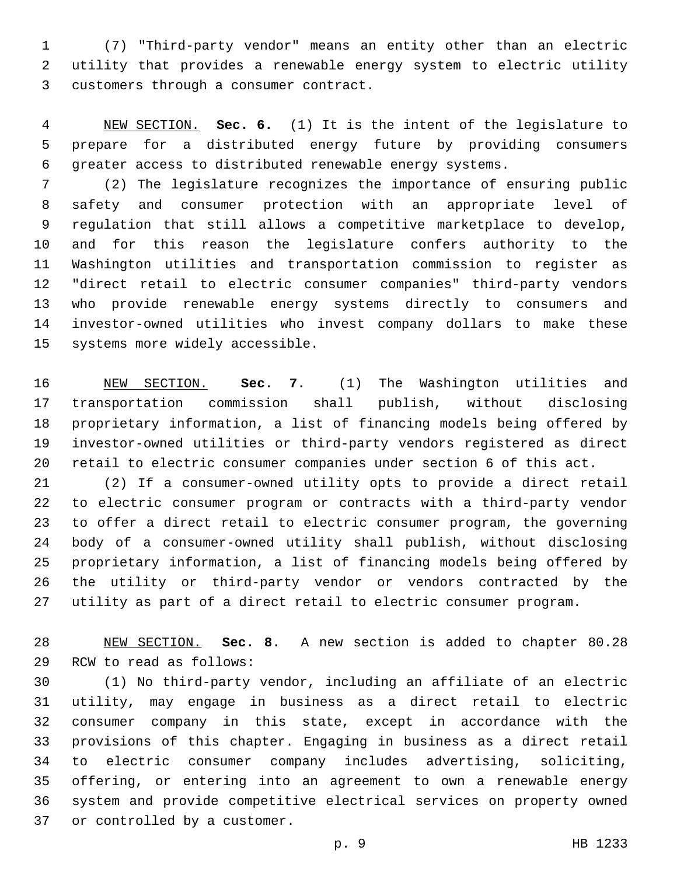(7) "Third-party vendor" means an entity other than an electric utility that provides a renewable energy system to electric utility 3 customers through a consumer contract.

 NEW SECTION. **Sec. 6.** (1) It is the intent of the legislature to prepare for a distributed energy future by providing consumers greater access to distributed renewable energy systems.

 (2) The legislature recognizes the importance of ensuring public safety and consumer protection with an appropriate level of regulation that still allows a competitive marketplace to develop, and for this reason the legislature confers authority to the Washington utilities and transportation commission to register as "direct retail to electric consumer companies" third-party vendors who provide renewable energy systems directly to consumers and investor-owned utilities who invest company dollars to make these 15 systems more widely accessible.

 NEW SECTION. **Sec. 7.** (1) The Washington utilities and transportation commission shall publish, without disclosing proprietary information, a list of financing models being offered by investor-owned utilities or third-party vendors registered as direct retail to electric consumer companies under section 6 of this act.

 (2) If a consumer-owned utility opts to provide a direct retail to electric consumer program or contracts with a third-party vendor to offer a direct retail to electric consumer program, the governing body of a consumer-owned utility shall publish, without disclosing proprietary information, a list of financing models being offered by the utility or third-party vendor or vendors contracted by the utility as part of a direct retail to electric consumer program.

 NEW SECTION. **Sec. 8.** A new section is added to chapter 80.28 29 RCW to read as follows:

 (1) No third-party vendor, including an affiliate of an electric utility, may engage in business as a direct retail to electric consumer company in this state, except in accordance with the provisions of this chapter. Engaging in business as a direct retail to electric consumer company includes advertising, soliciting, offering, or entering into an agreement to own a renewable energy system and provide competitive electrical services on property owned 37 or controlled by a customer.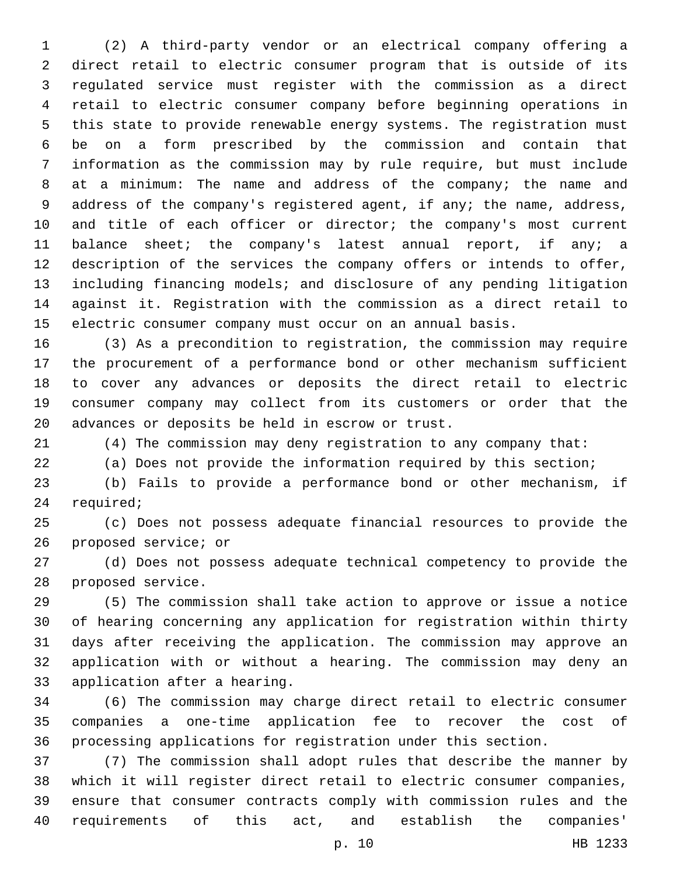(2) A third-party vendor or an electrical company offering a direct retail to electric consumer program that is outside of its regulated service must register with the commission as a direct retail to electric consumer company before beginning operations in this state to provide renewable energy systems. The registration must be on a form prescribed by the commission and contain that information as the commission may by rule require, but must include at a minimum: The name and address of the company; the name and address of the company's registered agent, if any; the name, address, 10 and title of each officer or director; the company's most current 11 balance sheet; the company's latest annual report, if any; a description of the services the company offers or intends to offer, including financing models; and disclosure of any pending litigation against it. Registration with the commission as a direct retail to electric consumer company must occur on an annual basis.

 (3) As a precondition to registration, the commission may require the procurement of a performance bond or other mechanism sufficient to cover any advances or deposits the direct retail to electric consumer company may collect from its customers or order that the 20 advances or deposits be held in escrow or trust.

(4) The commission may deny registration to any company that:

(a) Does not provide the information required by this section;

 (b) Fails to provide a performance bond or other mechanism, if 24 required;

 (c) Does not possess adequate financial resources to provide the 26 proposed service; or

 (d) Does not possess adequate technical competency to provide the 28 proposed service.

 (5) The commission shall take action to approve or issue a notice of hearing concerning any application for registration within thirty days after receiving the application. The commission may approve an application with or without a hearing. The commission may deny an 33 application after a hearing.

 (6) The commission may charge direct retail to electric consumer companies a one-time application fee to recover the cost of processing applications for registration under this section.

 (7) The commission shall adopt rules that describe the manner by which it will register direct retail to electric consumer companies, ensure that consumer contracts comply with commission rules and the requirements of this act, and establish the companies'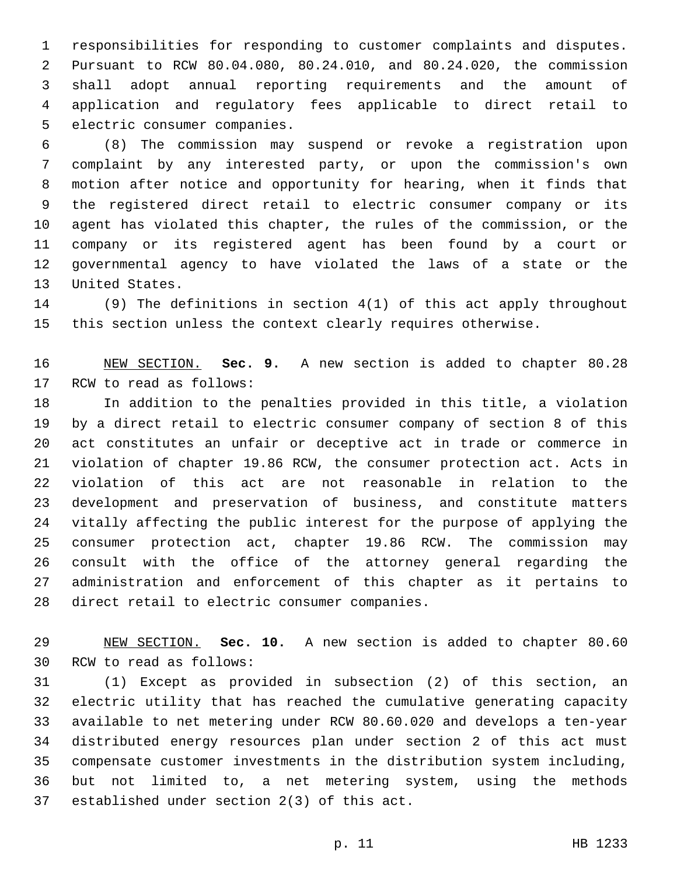responsibilities for responding to customer complaints and disputes. Pursuant to RCW 80.04.080, 80.24.010, and 80.24.020, the commission shall adopt annual reporting requirements and the amount of application and regulatory fees applicable to direct retail to 5 electric consumer companies.

 (8) The commission may suspend or revoke a registration upon complaint by any interested party, or upon the commission's own motion after notice and opportunity for hearing, when it finds that the registered direct retail to electric consumer company or its agent has violated this chapter, the rules of the commission, or the company or its registered agent has been found by a court or governmental agency to have violated the laws of a state or the 13 United States.

 (9) The definitions in section 4(1) of this act apply throughout this section unless the context clearly requires otherwise.

 NEW SECTION. **Sec. 9.** A new section is added to chapter 80.28 17 RCW to read as follows:

 In addition to the penalties provided in this title, a violation by a direct retail to electric consumer company of section 8 of this act constitutes an unfair or deceptive act in trade or commerce in violation of chapter 19.86 RCW, the consumer protection act. Acts in violation of this act are not reasonable in relation to the development and preservation of business, and constitute matters vitally affecting the public interest for the purpose of applying the consumer protection act, chapter 19.86 RCW. The commission may consult with the office of the attorney general regarding the administration and enforcement of this chapter as it pertains to 28 direct retail to electric consumer companies.

 NEW SECTION. **Sec. 10.** A new section is added to chapter 80.60 30 RCW to read as follows:

 (1) Except as provided in subsection (2) of this section, an electric utility that has reached the cumulative generating capacity available to net metering under RCW 80.60.020 and develops a ten-year distributed energy resources plan under section 2 of this act must compensate customer investments in the distribution system including, but not limited to, a net metering system, using the methods 37 established under section  $2(3)$  of this act.